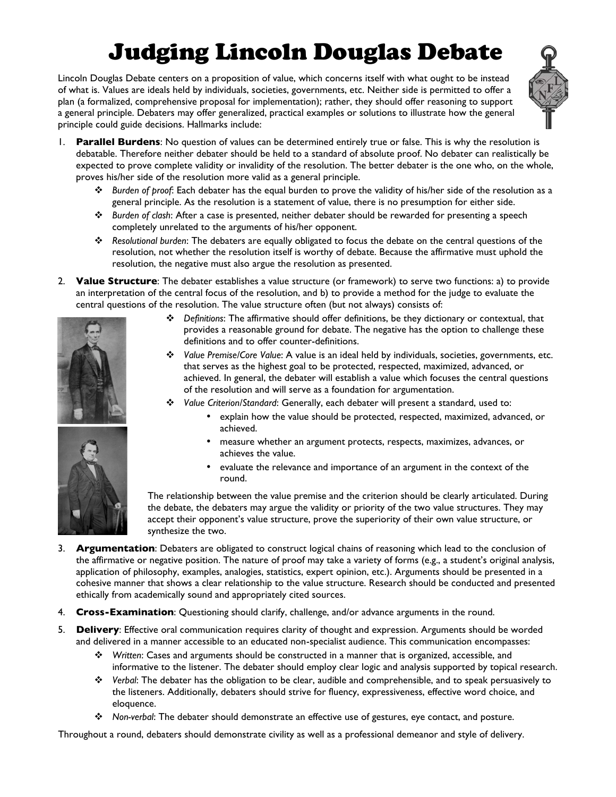## Judging Lincoln Douglas Debate

Lincoln Douglas Debate centers on a proposition of value, which concerns itself with what ought to be instead of what is. Values are ideals held by individuals, societies, governments, etc. Neither side is permitted to offer a plan (a formalized, comprehensive proposal for implementation); rather, they should offer reasoning to support a general principle. Debaters may offer generalized, practical examples or solutions to illustrate how the general principle could guide decisions. Hallmarks include:



- 1. **Parallel Burdens**: No question of values can be determined entirely true or false. This is why the resolution is debatable. Therefore neither debater should be held to a standard of absolute proof. No debater can realistically be expected to prove complete validity or invalidity of the resolution. The better debater is the one who, on the whole, proves his/her side of the resolution more valid as a general principle.
	- ! *Burden of proof*: Each debater has the equal burden to prove the validity of his/her side of the resolution as a general principle. As the resolution is a statement of value, there is no presumption for either side.
	- ! *Burden of clash*: After a case is presented, neither debater should be rewarded for presenting a speech completely unrelated to the arguments of his/her opponent.
	- ! *Resolutional burden*: The debaters are equally obligated to focus the debate on the central questions of the resolution, not whether the resolution itself is worthy of debate. Because the affirmative must uphold the resolution, the negative must also argue the resolution as presented.
- 2. **Value Structure**: The debater establishes a value structure (or framework) to serve two functions: a) to provide an interpretation of the central focus of the resolution, and b) to provide a method for the judge to evaluate the central questions of the resolution. The value structure often (but not always) consists of:



- ! *Definitions*: The affirmative should offer definitions, be they dictionary or contextual, that provides a reasonable ground for debate. The negative has the option to challenge these definitions and to offer counter-definitions.
- ! *Value Premise/Core Value*: A value is an ideal held by individuals, societies, governments, etc. that serves as the highest goal to be protected, respected, maximized, advanced, or achieved. In general, the debater will establish a value which focuses the central questions of the resolution and will serve as a foundation for argumentation.
- ! *Value Criterion/Standard*: Generally, each debater will present a standard, used to:
	- explain how the value should be protected, respected, maximized, advanced, or achieved.
	- measure whether an argument protects, respects, maximizes, advances, or achieves the value.
	- evaluate the relevance and importance of an argument in the context of the round.

The relationship between the value premise and the criterion should be clearly articulated. During the debate, the debaters may argue the validity or priority of the two value structures. They may accept their opponent's value structure, prove the superiority of their own value structure, or synthesize the two.

- 3. **Argumentation**: Debaters are obligated to construct logical chains of reasoning which lead to the conclusion of the affirmative or negative position. The nature of proof may take a variety of forms (e.g., a student's original analysis, application of philosophy, examples, analogies, statistics, expert opinion, etc.). Arguments should be presented in a cohesive manner that shows a clear relationship to the value structure. Research should be conducted and presented ethically from academically sound and appropriately cited sources.
- 4. **Cross-Examination**: Questioning should clarify, challenge, and/or advance arguments in the round.
- 5. **Delivery**: Effective oral communication requires clarity of thought and expression. Arguments should be worded and delivered in a manner accessible to an educated non-specialist audience. This communication encompasses:
	- ! *Written*: Cases and arguments should be constructed in a manner that is organized, accessible, and informative to the listener. The debater should employ clear logic and analysis supported by topical research.
	- ! *Verbal*: The debater has the obligation to be clear, audible and comprehensible, and to speak persuasively to the listeners. Additionally, debaters should strive for fluency, expressiveness, effective word choice, and eloquence.
	- ! *Non-verbal*: The debater should demonstrate an effective use of gestures, eye contact, and posture.

Throughout a round, debaters should demonstrate civility as well as a professional demeanor and style of delivery.